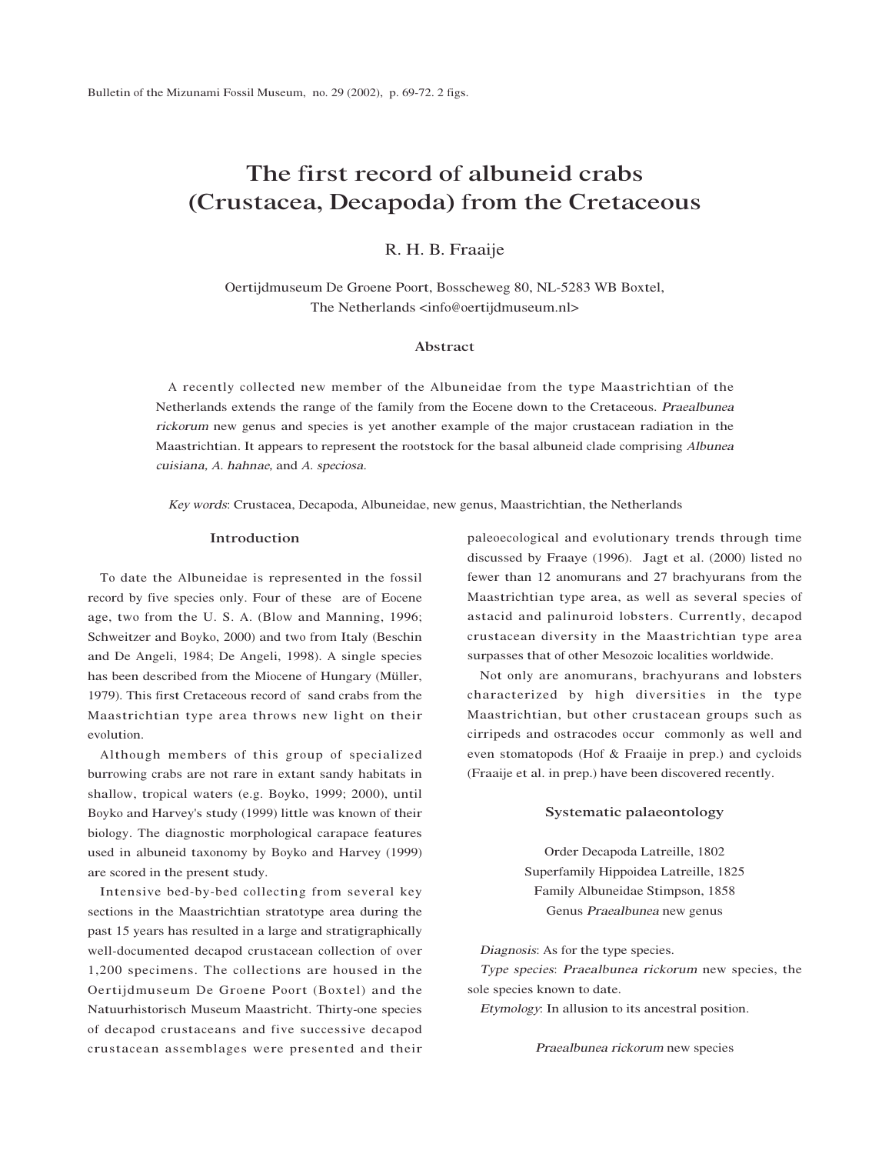# The first record of albuneid crabs (Crustacea, Decapoda) from the Cretaceous

R. H. B. Fraaije

Oertijdmuseum De Groene Poort, Bosscheweg 80, NL-5283 WB Boxtel, The Netherlands <info@oertijdmuseum.nl>

# Abstract

A recently collected new member of the Albuneidae from the type Maastrichtian of the Netherlands extends the range of the family from the Eocene down to the Cretaceous. <sup>P</sup>raealbune<sup>a</sup> <sup>r</sup>ickoru<sup>m</sup> new genus and species is yet another example of the major crustacean radiation in the Maastrichtian. It appears to represent the rootstock for the basal albuneid clade comprising <sup>A</sup>lbune<sup>a</sup> <sup>c</sup>uisiana, A. hahnae, and A. speciosa.

<sup>K</sup>ey <sup>w</sup>ords: Crustacea, Decapoda, Albuneidae, new genus, Maastrichtian, the Netherlands

## Introduction

To date the Albuneidae is represented in the fossil record by five species only. Four of these are of Eocene age, two from the U. S. A. (Blow and Manning, 1996; Schweitzer and Boyko, 2000) and two from Italy (Beschin and De Angeli, 1984; De Angeli, 1998). A single species has been described from the Miocene of Hungary (Müller, 1979). This first Cretaceous record of sand crabs from the Maastrichtian type area throws new light on their evolution.

Although members of this group of specialized burrowing crabs are not rare in extant sandy habitats in shallow, tropical waters (e.g. Boyko, 1999; 2000), until Boyko and Harvey's study (1999) little was known of their biology. The diagnostic morphological carapace features used in albuneid taxonomy by Boyko and Harvey (1999) are scored in the present study.

Intensive bed-by-bed collecting from several key sections in the Maastrichtian stratotype area during the past 15 years has resulted in a large and stratigraphically well-documented decapod crustacean collection of over 1,200 specimens. The collections are housed in the Oertijdmuseum De Groene Poort (Boxtel) and the Natuurhistorisch Museum Maastricht. Thirty-one species of decapod crustaceans and five successive decapod crustacean assemblages were presented and their

paleoecological and evolutionary trends through time discussed by Fraaye (1996). Jagt et al. (2000) listed no fewer than 12 anomurans and 27 brachyurans from the Maastrichtian type area, as well as several species of astacid and palinuroid lobsters. Currently, decapod crustacean diversity in the Maastrichtian type area surpasses that of other Mesozoic localities worldwide.

Not only are anomurans, brachyurans and lobsters characterized by high diversities in the type Maastrichtian, but other crustacean groups such as cirripeds and ostracodes occur commonly as well and even stomatopods (Hof & Fraaije in prep.) and cycloids (Fraaije et al. in prep.) have been discovered recently.

# Systematic palaeontology

Order Decapoda Latreille, 1802 Superfamily Hippoidea Latreille, 1825 Family Albuneidae Stimpson, 1858 Genus Praealbune<sup>a</sup> new genus

<sup>D</sup>iagnosis: As for the type species.

<sup>T</sup>yp<sup>e</sup> species: <sup>P</sup>raealbune<sup>a</sup> <sup>r</sup>ickoru<sup>m</sup> new species, the sole species known to date.

<sup>E</sup>ty<sup>m</sup>ology: In allusion to its ancestral position.

<sup>P</sup>raealbune<sup>a</sup> <sup>r</sup>ickoru<sup>m</sup> new species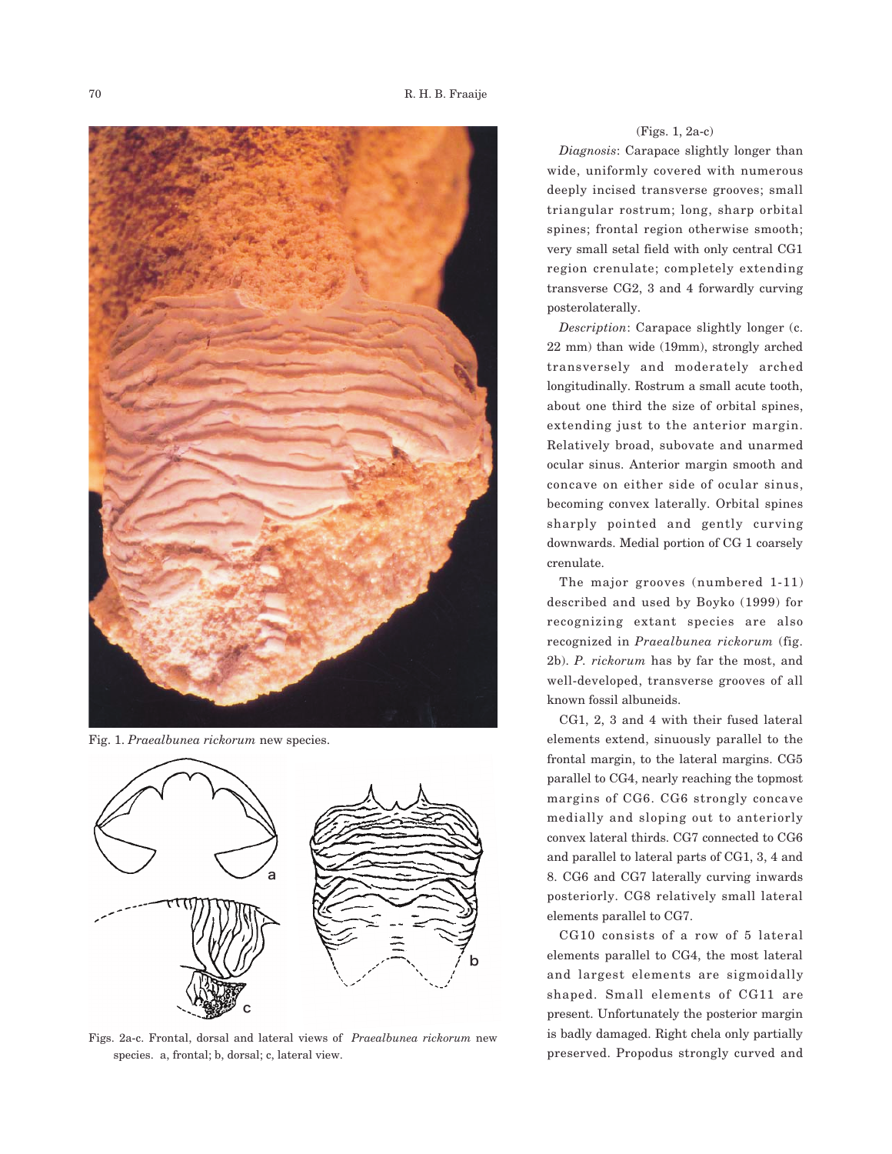

Fig. 1. *Praealbunea rickorum* new species.



Figs. 2a-c. Frontal, dorsal and lateral views of *Praealbunea rickorum* new species. a, frontal; b, dorsal; c, lateral view.

### (Figs. 1, 2a-c)

*Diagnosis*: Carapace slightly longer than wide, uniformly covered with numerous deeply incised transverse grooves; small triangular rostrum; long, sharp orbital spines; frontal region otherwise smooth; very small setal field with only central CG1 region crenulate; completely extending transverse CG2, 3 and 4 forwardly curving posterolaterally.

*Description*: Carapace slightly longer (c. 22 mm) than wide (19mm), strongly arched transversely and moderately arched longitudinally. Rostrum a small acute tooth, about one third the size of orbital spines, extending just to the anterior margin. Relatively broad, subovate and unarmed ocular sinus. Anterior margin smooth and concave on either side of ocular sinus, becoming convex laterally. Orbital spines sharply pointed and gently curving downwards. Medial portion of CG 1 coarsely crenulate.

The major grooves (numbered 1-11) described and used by Boyko (1999) for recognizing extant species are also recognized in *Praealbunea rickorum* (fig. 2b). *P. rickorum* has by far the most, and well-developed, transverse grooves of all known fossil albuneids.

CG1, 2, 3 and 4 with their fused lateral elements extend, sinuously parallel to the frontal margin, to the lateral margins. CG5 parallel to CG4, nearly reaching the topmost margins of CG6. CG6 strongly concave medially and sloping out to anteriorly convex lateral thirds. CG7 connected to CG6 and parallel to lateral parts of CG1, 3, 4 and 8. CG6 and CG7 laterally curving inwards posteriorly. CG8 relatively small lateral elements parallel to CG7.

CG10 consists of a row of 5 lateral elements parallel to CG4, the most lateral and largest elements are sigmoidally shaped. Small elements of CG11 are present. Unfortunately the posterior margin is badly damaged. Right chela only partially preserved. Propodus strongly curved and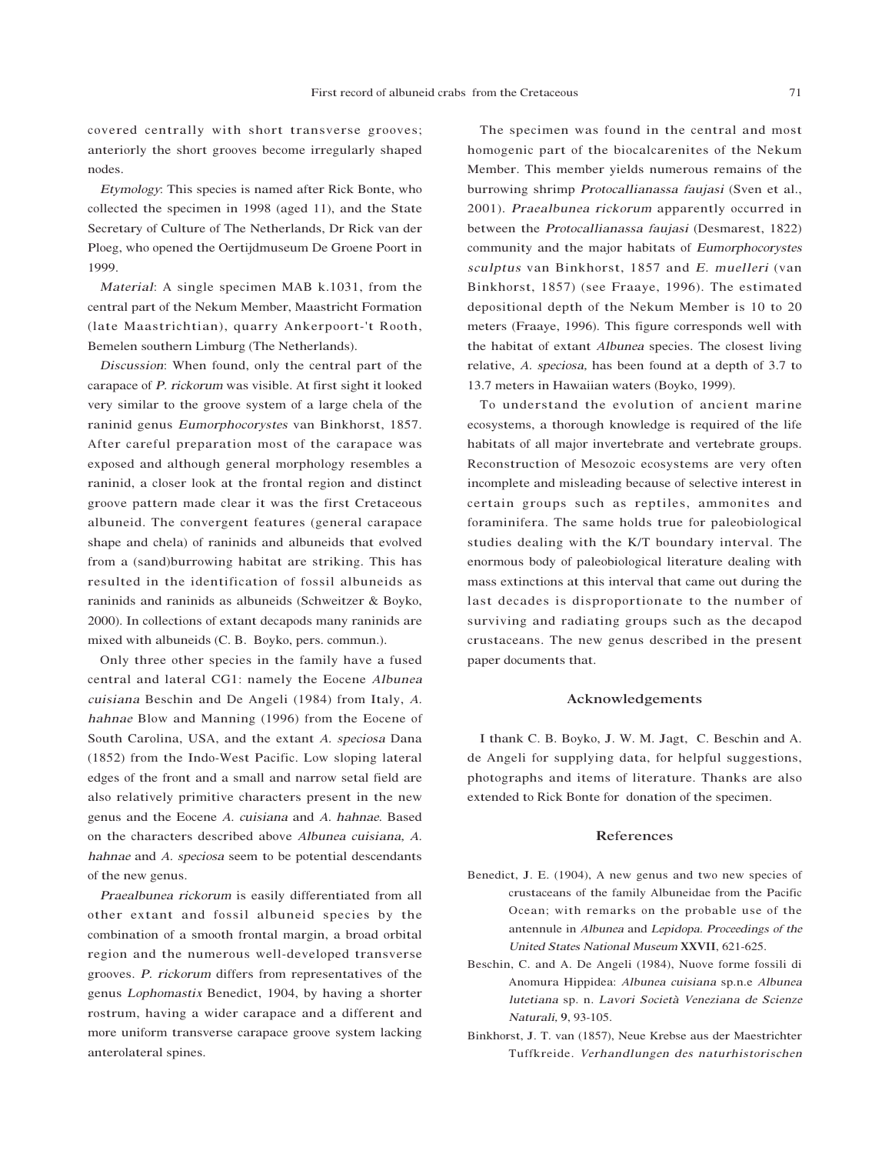covered centrally with short transverse grooves; anteriorly the short grooves become irregularly shaped nodes.

<sup>E</sup>ty<sup>m</sup>ology: This species is named after Rick Bonte, who collected the specimen in 1998 (aged 11), and the State Secretary of Culture of The Netherlands, Dr Rick van der Ploeg, who opened the Oertijdmuseum De Groene Poort in 1999.

<sup>M</sup>ateria<sup>l</sup>: A single specimen MAB k.1031, from the central part of the Nekum Member, Maastricht Formation (late Maastrichtian), quarry Ankerpoort-'t Rooth, Bemelen southern Limburg (The Netherlands).

<sup>D</sup>iscussion: When found, only the central part of the carapace of <sup>P</sup>. <sup>r</sup>ickoru<sup>m</sup> was visible. At first sight it looked very similar to the groove system of a large chela of the raninid genus <sup>E</sup>umorphoco<sup>r</sup>yste<sup>s</sup> van Binkhorst, 1857. After careful preparation most of the carapace was exposed and although general morphology resembles a raninid, a closer look at the frontal region and distinct groove pattern made clear it was the first Cretaceous albuneid. The convergent features (general carapace shape and chela) of raninids and albuneids that evolved from a (sand)burrowing habitat are striking. This has resulted in the identification of fossil albuneids as raninids and raninids as albuneids (Schweitzer & Boyko, 2000). In collections of extant decapods many raninids are mixed with albuneids (C. B. Boyko, pers. commun.).

Only three other species in the family have a fused central and lateral CG1: namely the Eocene <sup>A</sup>lbune<sup>a</sup> <sup>c</sup>uisian<sup>a</sup> Beschin and De Angeli (1984) from Italy, <sup>A</sup>. <sup>h</sup>ahna<sup>e</sup> Blow and Manning (1996) from the Eocene of South Carolina, USA, and the extant <sup>A</sup>. specios<sup>a</sup> Dana (1852) from the Indo-West Pacific. Low sloping lateral edges of the front and a small and narrow setal field are also relatively primitive characters present in the new genus and the Eocene <sup>A</sup>. <sup>c</sup>uisian<sup>a</sup> and <sup>A</sup>. <sup>h</sup>ahnae. Based on the characters described above <sup>A</sup>lbune<sup>a</sup> <sup>c</sup>uisiana, <sup>A</sup>. <sup>h</sup>ahna<sup>e</sup> and <sup>A</sup>. specios<sup>a</sup> seem to be potential descendants of the new genus.

<sup>P</sup>raealbune<sup>a</sup> <sup>r</sup>ickoru<sup>m</sup> is easily differentiated from all other extant and fossil albuneid species by the combination of a smooth frontal margin, a broad orbital region and the numerous well-developed transverse grooves. <sup>P</sup>. <sup>r</sup>ickoru<sup>m</sup> differs from representatives of the genus <sup>L</sup>ophomasti<sup>x</sup> Benedict, 1904, by having a shorter rostrum, having a wider carapace and a different and more uniform transverse carapace groove system lacking anterolateral spines.

The specimen was found in the central and most homogenic part of the biocalcarenites of the Nekum Member. This member yields numerous remains of the burrowing shrimp <sup>P</sup>rotocallianass<sup>a</sup> <sup>f</sup><sup>a</sup>ujas<sup>i</sup> (Sven et al., 2001). <sup>P</sup>raealbune<sup>a</sup> <sup>r</sup>ickoru<sup>m</sup> apparently occurred in between the <sup>P</sup>rotocallianass<sup>a</sup> <sup>f</sup><sup>a</sup>ujas<sup>i</sup> (Desmarest, 1822) community and the major habitats of <sup>E</sup>umorphoco<sup>r</sup>yste<sup>s</sup> <sup>s</sup>culptus van Binkhorst, 1857 and <sup>E</sup>. <sup>m</sup>u<sup>e</sup>ller<sup>i</sup> (van Binkhorst, 1857) (see Fraaye, 1996). The estimated depositional depth of the Nekum Member is 10 to 20 meters (Fraaye, 1996). This figure corresponds well with the habitat of extant <sup>A</sup>lbune<sup>a</sup> species. The closest living relative, <sup>A</sup>. speciosa, has been found at a depth of 3.7 to 13.7 meters in Hawaiian waters (Boyko, 1999).

To understand the evolution of ancient marine ecosystems, a thorough knowledge is required of the life habitats of all major invertebrate and vertebrate groups. Reconstruction of Mesozoic ecosystems are very often incomplete and misleading because of selective interest in certain groups such as reptiles, ammonites and foraminifera. The same holds true for paleobiological studies dealing with the K/T boundary interval. The enormous body of paleobiological literature dealing with mass extinctions at this interval that came out during the last decades is disproportionate to the number of surviving and radiating groups such as the decapod crustaceans. The new genus described in the present paper documents that.

#### Acknowledgements

I thank C. B. Boyko, J. W. M. Jagt, C. Beschin and A. de Angeli for supplying data, for helpful suggestions, photographs and items of literature. Thanks are also extended to Rick Bonte for donation of the specimen.

### References

- Benedict, J. E. (1904), A new genus and two new species of crustaceans of the family Albuneidae from the Pacific Ocean; with remarks on the probable use of the antennule in <sup>A</sup>lbune<sup>a</sup> and <sup>L</sup>epidop<sup>a</sup>. <sup>P</sup>roceeding<sup>s</sup> of <sup>t</sup>h<sup>e</sup> <sup>U</sup>nite<sup>d</sup> <sup>S</sup>tate<sup>s</sup> <sup>N</sup>ationa<sup>l</sup> <sup>M</sup>useum XXVII, 621-625.
- Beschin, C. and A. De Angeli (1984), Nuove forme fossili di Anomura Hippidea: <sup>A</sup>lbune<sup>a</sup> <sup>c</sup>uisian<sup>a</sup> sp.n.e <sup>A</sup>lbune<sup>a</sup> lutetian<sup>a</sup> sp. n. Lavori Società Venezian<sup>a</sup> d<sup>e</sup> Scienz<sup>e</sup> <sup>N</sup>aturali, 9, 93-105.
- Binkhorst, J. T. van (1857), Neue Krebse aus der Maestrichter Tuffkreide. <sup>V</sup>erhandlunge<sup>n</sup> <sup>d</sup>e<sup>s</sup> <sup>n</sup>atu<sup>r</sup>historische<sup>n</sup>